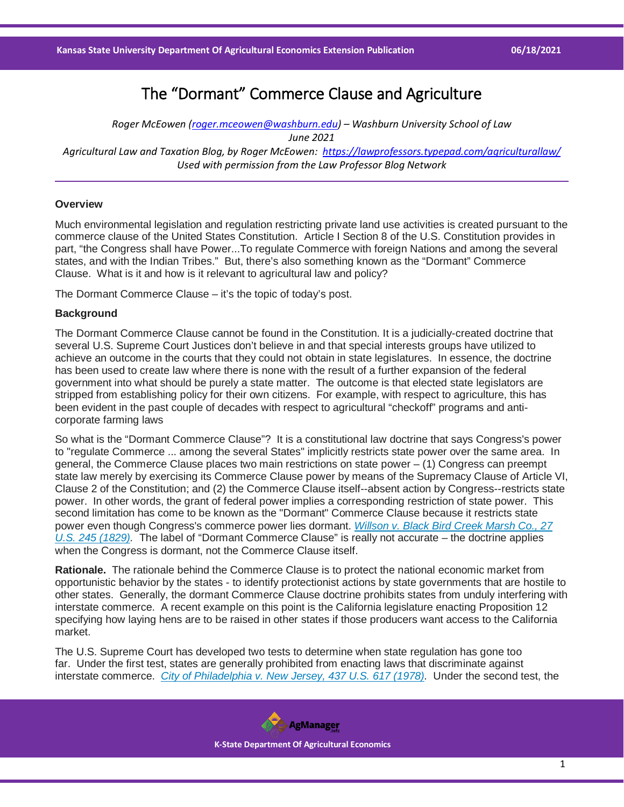# The "Dormant" Commerce Clause and Agriculture

*Roger McEowen [\(roger.mceowen@washburn.edu\)](mailto:roger.mceowen@washburn.edu) – Washburn University School of Law June 2021 Agricultural Law and Taxation Blog, by Roger McEowen:<https://lawprofessors.typepad.com/agriculturallaw/> Used with permission from the Law Professor Blog Network*

## **Overview**

Much environmental legislation and regulation restricting private land use activities is created pursuant to the commerce clause of the United States Constitution. Article I Section 8 of the U.S. Constitution provides in part, "the Congress shall have Power...To regulate Commerce with foreign Nations and among the several states, and with the Indian Tribes." But, there's also something known as the "Dormant" Commerce Clause. What is it and how is it relevant to agricultural law and policy?

The Dormant Commerce Clause – it's the topic of today's post.

#### **Background**

The Dormant Commerce Clause cannot be found in the Constitution. It is a judicially-created doctrine that several U.S. Supreme Court Justices don't believe in and that special interests groups have utilized to achieve an outcome in the courts that they could not obtain in state legislatures. In essence, the doctrine has been used to create law where there is none with the result of a further expansion of the federal government into what should be purely a state matter. The outcome is that elected state legislators are stripped from establishing policy for their own citizens. For example, with respect to agriculture, this has been evident in the past couple of decades with respect to agricultural "checkoff" programs and anticorporate farming laws

So what is the "Dormant Commerce Clause"? It is a constitutional law doctrine that says Congress's power to "regulate Commerce ... among the several States" implicitly restricts state power over the same area. In general, the Commerce Clause places two main restrictions on state power – (1) Congress can preempt state law merely by exercising its Commerce Clause power by means of the Supremacy Clause of Article VI, Clause 2 of the Constitution; and (2) the Commerce Clause itself--absent action by Congress--restricts state power. In other words, the grant of federal power implies a corresponding restriction of state power. This second limitation has come to be known as the "Dormant" Commerce Clause because it restricts state power even though Congress's commerce power lies dormant. *[Willson v. Black Bird Creek Marsh Co., 27](https://casetext.com/case/willson-and-others-v-the-black-bird-creek-marsh-company?ref=ArRBZs!aQkWbz)  [U.S. 245 \(1829\).](https://casetext.com/case/willson-and-others-v-the-black-bird-creek-marsh-company?ref=ArRBZs!aQkWbz)* The label of "Dormant Commerce Clause" is really not accurate – the doctrine applies when the Congress is dormant, not the Commerce Clause itself.

**Rationale.** The rationale behind the Commerce Clause is to protect the national economic market from opportunistic behavior by the states - to identify protectionist actions by state governments that are hostile to other states. Generally, the dormant Commerce Clause doctrine prohibits states from unduly interfering with interstate commerce. A recent example on this point is the California legislature enacting Proposition 12 specifying how laying hens are to be raised in other states if those producers want access to the California market.

The U.S. Supreme Court has developed two tests to determine when state regulation has gone too far. Under the first test, states are generally prohibited from enacting laws that discriminate against interstate commerce. *[City of Philadelphia v. New Jersey, 437 U.S. 617 \(1978\).](https://casetext.com/case/city-of-philadelphia-v-new-jersey-2?ref=ArRBZs!TPBhIV)* Under the second test, the

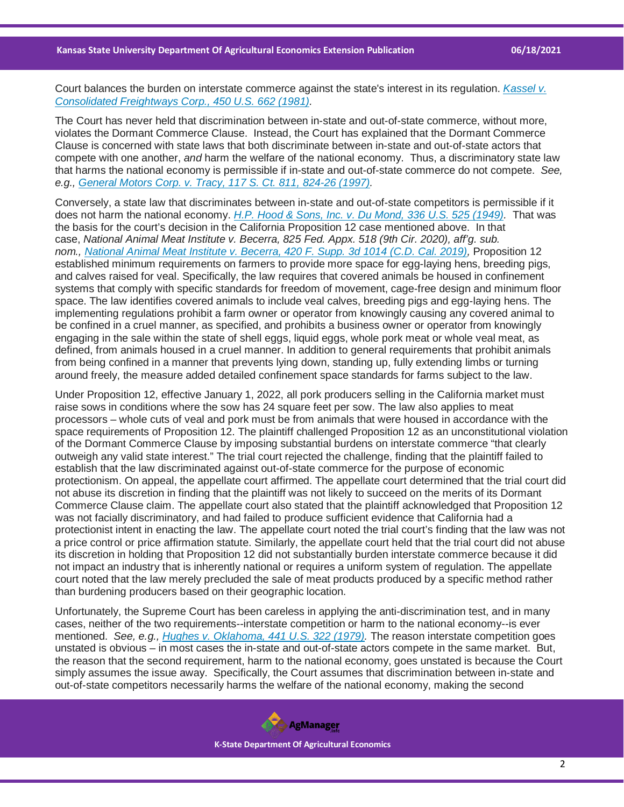Court balances the burden on interstate commerce against the state's interest in its regulation. *[Kassel v.](https://casetext.com/case/kassel-v-consolidated-freightways-corp?ref=ArRBZs!cWqWGi)  [Consolidated Freightways Corp., 450 U.S. 662 \(1981\).](https://casetext.com/case/kassel-v-consolidated-freightways-corp?ref=ArRBZs!cWqWGi)*

The Court has never held that discrimination between in-state and out-of-state commerce, without more, violates the Dormant Commerce Clause. Instead, the Court has explained that the Dormant Commerce Clause is concerned with state laws that both discriminate between in-state and out-of-state actors that compete with one another, *and* harm the welfare of the national economy. Thus, a discriminatory state law that harms the national economy is permissible if in-state and out-of-state commerce do not compete. *See, e.g., [General Motors Corp. v. Tracy, 117 S. Ct. 811, 824-26 \(1997\).](https://casetext.com/case/general-motors-corp-v-tracy?ref=ArRBZs!RbEqe0)*

Conversely, a state law that discriminates between in-state and out-of-state competitors is permissible if it does not harm the national economy. *[H.P. Hood & Sons, Inc. v. Du Mond, 336 U.S. 525 \(1949\).](https://casetext.com/case/hood-sons-v-du-mond?ref=ArRBZs!baDA8x)* That was the basis for the court's decision in the California Proposition 12 case mentioned above. In that case, *National Animal Meat Institute v. Becerra, 825 Fed. Appx. 518 (9th Cir. 2020), aff'g. sub. nom., [National Animal Meat Institute v. Becerra, 420 F. Supp. 3d 1014 \(C.D. Cal. 2019\),](https://casetext.com/case/n-am-meat-inst-v-becerra?ref=ArRBZs!Ej0zto)* Proposition 12 established minimum requirements on farmers to provide more space for egg-laying hens, breeding pigs, and calves raised for veal. Specifically, the law requires that covered animals be housed in confinement systems that comply with specific standards for freedom of movement, cage-free design and minimum floor space. The law identifies covered animals to include veal calves, breeding pigs and egg-laying hens. The implementing regulations prohibit a farm owner or operator from knowingly causing any covered animal to be confined in a cruel manner, as specified, and prohibits a business owner or operator from knowingly engaging in the sale within the state of shell eggs, liquid eggs, whole pork meat or whole veal meat, as defined, from animals housed in a cruel manner. In addition to general requirements that prohibit animals from being confined in a manner that prevents lying down, standing up, fully extending limbs or turning around freely, the measure added detailed confinement space standards for farms subject to the law.

Under Proposition 12, effective January 1, 2022, all pork producers selling in the California market must raise sows in conditions where the sow has 24 square feet per sow. The law also applies to meat processors – whole cuts of veal and pork must be from animals that were housed in accordance with the space requirements of Proposition 12. The plaintiff challenged Proposition 12 as an unconstitutional violation of the Dormant Commerce Clause by imposing substantial burdens on interstate commerce "that clearly outweigh any valid state interest." The trial court rejected the challenge, finding that the plaintiff failed to establish that the law discriminated against out-of-state commerce for the purpose of economic protectionism. On appeal, the appellate court affirmed. The appellate court determined that the trial court did not abuse its discretion in finding that the plaintiff was not likely to succeed on the merits of its Dormant Commerce Clause claim. The appellate court also stated that the plaintiff acknowledged that Proposition 12 was not facially discriminatory, and had failed to produce sufficient evidence that California had a protectionist intent in enacting the law. The appellate court noted the trial court's finding that the law was not a price control or price affirmation statute. Similarly, the appellate court held that the trial court did not abuse its discretion in holding that Proposition 12 did not substantially burden interstate commerce because it did not impact an industry that is inherently national or requires a uniform system of regulation. The appellate court noted that the law merely precluded the sale of meat products produced by a specific method rather than burdening producers based on their geographic location.

Unfortunately, the Supreme Court has been careless in applying the anti-discrimination test, and in many cases, neither of the two requirements--interstate competition or harm to the national economy--is ever mentioned. *See, e.g., [Hughes v. Oklahoma, 441 U.S. 322 \(1979\).](https://casetext.com/case/hughes-v-oklahoma-2?ref=ArRBZs!1p3trB)* The reason interstate competition goes unstated is obvious – in most cases the in-state and out-of-state actors compete in the same market. But, the reason that the second requirement, harm to the national economy, goes unstated is because the Court simply assumes the issue away. Specifically, the Court assumes that discrimination between in-state and out-of-state competitors necessarily harms the welfare of the national economy, making the second

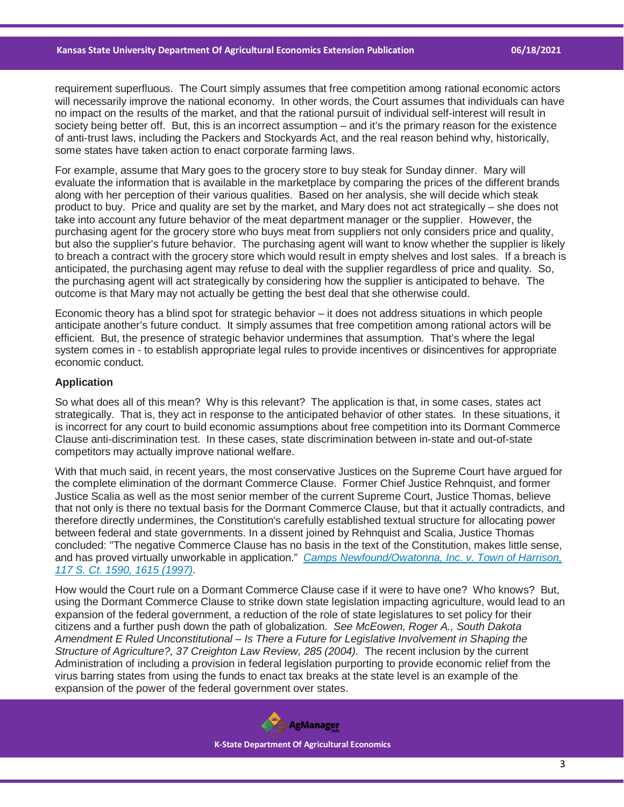requirement superfluous. The Court simply assumes that free competition among rational economic actors will necessarily improve the national economy. In other words, the Court assumes that individuals can have no impact on the results of the market, and that the rational pursuit of individual self-interest will result in society being better off. But, this is an incorrect assumption – and it's the primary reason for the existence of anti-trust laws, including the Packers and Stockyards Act, and the real reason behind why, historically, some states have taken action to enact corporate farming laws.

For example, assume that Mary goes to the grocery store to buy steak for Sunday dinner. Mary will evaluate the information that is available in the marketplace by comparing the prices of the different brands along with her perception of their various qualities. Based on her analysis, she will decide which steak product to buy. Price and quality are set by the market, and Mary does not act strategically – she does not take into account any future behavior of the meat department manager or the supplier. However, the purchasing agent for the grocery store who buys meat from suppliers not only considers price and quality, but also the supplier's future behavior. The purchasing agent will want to know whether the supplier is likely to breach a contract with the grocery store which would result in empty shelves and lost sales. If a breach is anticipated, the purchasing agent may refuse to deal with the supplier regardless of price and quality. So, the purchasing agent will act strategically by considering how the supplier is anticipated to behave. The outcome is that Mary may not actually be getting the best deal that she otherwise could.

Economic theory has a blind spot for strategic behavior – it does not address situations in which people anticipate another's future conduct. It simply assumes that free competition among rational actors will be efficient. But, the presence of strategic behavior undermines that assumption. That's where the legal system comes in - to establish appropriate legal rules to provide incentives or disincentives for appropriate economic conduct.

#### **Application**

So what does all of this mean? Why is this relevant? The application is that, in some cases, states act strategically. That is, they act in response to the anticipated behavior of other states. In these situations, it is incorrect for any court to build economic assumptions about free competition into its Dormant Commerce Clause anti-discrimination test. In these cases, state discrimination between in-state and out-of-state competitors may actually improve national welfare.

With that much said, in recent years, the most conservative Justices on the Supreme Court have argued for the complete elimination of the dormant Commerce Clause. Former Chief Justice Rehnquist, and former Justice Scalia as well as the most senior member of the current Supreme Court, Justice Thomas, believe that not only is there no textual basis for the Dormant Commerce Clause, but that it actually contradicts, and therefore directly undermines, the Constitution's carefully established textual structure for allocating power between federal and state governments. In a dissent joined by Rehnquist and Scalia, Justice Thomas concluded: "The negative Commerce Clause has no basis in the text of the Constitution, makes little sense, and has proved virtually unworkable in application." *[Camps Newfound/Owatonna, Inc. v. Town of Harrison,](https://casetext.com/case/camps-newfoundowatonna-inc-v-town-of-harrison?ref=ArRBZs!UmT6Ti)  [117 S. Ct. 1590, 1615 \(1997\).](https://casetext.com/case/camps-newfoundowatonna-inc-v-town-of-harrison?ref=ArRBZs!UmT6Ti)*

How would the Court rule on a Dormant Commerce Clause case if it were to have one? Who knows? But, using the Dormant Commerce Clause to strike down state legislation impacting agriculture, would lead to an expansion of the federal government, a reduction of the role of state legislatures to set policy for their citizens and a further push down the path of globalization. *See McEowen, Roger A., South Dakota Amendment E Ruled Unconstitutional – Is There a Future for Legislative Involvement in Shaping the Structure of Agriculture?, 37 Creighton Law Review, 285 (2004).* The recent inclusion by the current Administration of including a provision in federal legislation purporting to provide economic relief from the virus barring states from using the funds to enact tax breaks at the state level is an example of the expansion of the power of the federal government over states.